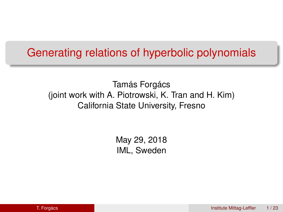### Generating relations of hyperbolic polynomials

Tamás Forgács (joint work with A. Piotrowski, K. Tran and H. Kim) California State University, Fresno

> May 29, 2018 IML, Sweden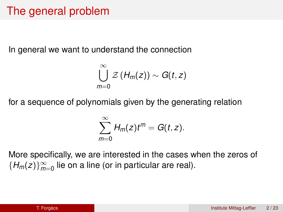### The general problem

In general we want to understand the connection

$$
\bigcup_{m=0}^{\infty} \mathcal{Z}(H_m(z)) \sim G(t,z)
$$

for a sequence of polynomials given by the generating relation

$$
\sum_{m=0}^{\infty} H_m(z)t^m = G(t,z).
$$

More specifically, we are interested in the cases when the zeros of  ${H_m(z)}_{m=0}^{\infty}$  lie on a line (or in particular are real).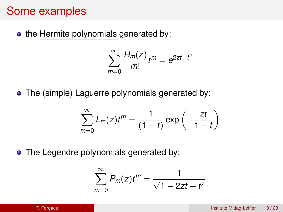### Some examples

• the Hermite polynomials generated by:

$$
\sum_{m=0}^{\infty}\frac{H_m(z)}{m!}t^m=e^{2zt-t^2}
$$

• The (simple) Laguerre polynomials generated by:

$$
\sum_{m=0}^{\infty} L_m(z) t^m = \frac{1}{(1-t)} \exp\left(-\frac{zt}{1-t}\right)
$$

• The Legendre polynomials generated by:

$$
\sum_{m=0}^{\infty} P_m(z) t^m = \frac{1}{\sqrt{1-2zt+t^2}}
$$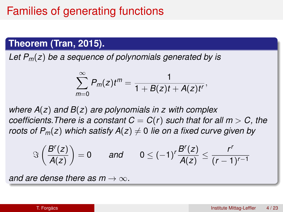### Families of generating functions

#### **Theorem (Tran, 2015).**

*Let Pm*(*z*) *be a sequence of polynomials generated by is*

$$
\sum_{m=0}^{\infty} P_m(z)t^m=\frac{1}{1+B(z)t+A(z)t^r},
$$

*where A*(*z*) *and B*(*z*) *are polynomials in z with complex coefficients. There is a constant*  $C = C(r)$  *such that for all*  $m > C$ *, the roots of P<sub>m</sub>(<i>z*) *which satisfy A(<i>z*)  $\neq$  0 *lie on a fixed curve given by* 

$$
\Im\left(\frac{B^r(z)}{A(z)}\right)=0 \quad \text{and} \quad 0\leq (-1)^r\frac{B^r(z)}{A(z)}\leq \frac{r^r}{(r-1)^{r-1}}
$$

*and are dense there as m*  $\rightarrow \infty$ .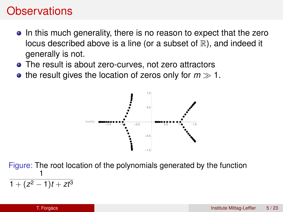### **Observations**

- In this much generality, there is no reason to expect that the zero locus described above is a line (or a subset of  $\mathbb{R}$ ), and indeed it generally is not.
- The result is about zero-curves, not zero attractors
- the result gives the location of zeros only for  $m \gg 1$ .



Figure: The root location of the polynomials generated by the function 1  $1 + (z^2 - 1)t + zt^3$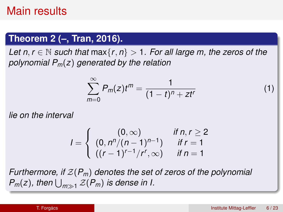### Main results

#### **Theorem 2 (–, Tran, 2016).**

*Let n, r*  $\in$  N *such that* max $\{r, n\}$  > 1*. For all large m, the zeros of the polynomial Pm*(*z*) *generated by the relation*

$$
\sum_{m=0}^{\infty} P_m(z) t^m = \frac{1}{(1-t)^n + z t^r}
$$
 (1)

*lie on the interval*

$$
I = \begin{cases} (0, \infty) & \text{if } n, r \geq 2 \\ (0, n^n/(n-1)^{n-1}) & \text{if } r = 1 \\ ((r-1)^{r-1}/r^r, \infty) & \text{if } n = 1 \end{cases}
$$

*Furthermore, if* Z(*Pm*) *denotes the set of zeros of the polynomial*  $P_m(z)$ , then  $\bigcup_{m\gg1}\mathcal{Z}(P_m)$  is dense in I.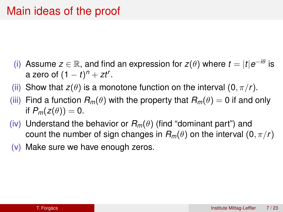- (i) Assume  $z \in \mathbb{R}$ , and find an expression for  $z(\theta)$  where  $t = |t|e^{-i\theta}$  is a zero of  $(1-t)^n + zt^r$ .
- (ii) Show that  $z(\theta)$  is a monotone function on the interval  $(0, \pi/r)$ .
- (iii) Find a function  $R_m(\theta)$  with the property that  $R_m(\theta) = 0$  if and only if  $P_m(z(\theta)) = 0$ .
- (iv) Understand the behavior or  $R_m(\theta)$  (find "dominant part") and count the number of sign changes in  $R_m(\theta)$  on the interval  $(0, \pi/r)$
- $(v)$  Make sure we have enough zeros.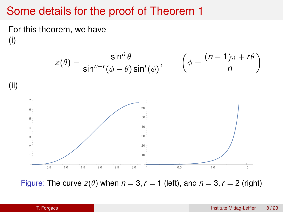### Some details for the proof of Theorem 1

For this theorem, we have (i)



Figure: The curve  $z(\theta)$  when  $n = 3$ ,  $r = 1$  (left), and  $n = 3$ ,  $r = 2$  (right)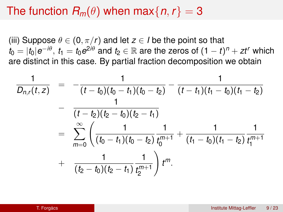### The function  $R_m(\theta)$  when max $\{n, r\} = 3$

(iii) Suppose  $\theta \in (0, \pi/r)$  and let  $z \in I$  be the point so that  $t_0 = |t_0|e^{-i\theta}, \, t_1 = t_0e^{2i\theta}$  and  $t_2 \in \mathbb{R}$  are the zeros of  $(1-t)^n + z t^r$  which are distinct in this case. By partial fraction decomposition we obtain

$$
\frac{1}{D_{n,r}(t,z)} = -\frac{1}{(t-t_0)(t_0-t_1)(t_0-t_2)} - \frac{1}{(t-t_1)(t_1-t_0)(t_1-t_2)} \n- \frac{1}{(t-t_2)(t_2-t_0)(t_2-t_1)} \n= \sum_{m=0}^{\infty} \left( \frac{1}{(t_0-t_1)(t_0-t_2)} \frac{1}{t_0^{m+1}} + \frac{1}{(t_1-t_0)(t_1-t_2)} \frac{1}{t_1^{m+1}} + \frac{1}{(t_2-t_0)(t_2-t_1)} \frac{1}{t_2^{m+1}} \right) t^m.
$$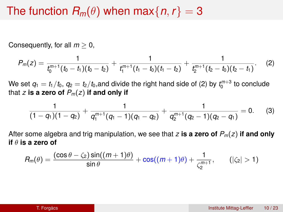### The function  $R_m(\theta)$  when max $\{n, r\} = 3$

Consequently, for all *m* ≥ 0,

$$
P_m(z)=\frac{1}{t_0^{m+1}(t_0-t_1)(t_0-t_2)}+\frac{1}{t_1^{m+1}(t_1-t_0)(t_1-t_2)}+\frac{1}{t_2^{m+1}(t_2-t_0)(t_2-t_1)}.\hspace{1cm} (2)
$$

We set  $q_1 = t_1/t_0$ ,  $q_2 = t_2/t_0$ ,and divide the right hand side of [\(2\)](#page-9-0) by  $t_0^{m+3}$  to conclude that *z* is a zero of  $P_m(z)$  if and only if

<span id="page-9-0"></span>
$$
\frac{1}{(1-q_1)(1-q_2)}+\frac{1}{q_1^{m+1}(q_1-1)(q_1-q_2)}+\frac{1}{q_2^{m+1}(q_2-1)(q_2-q_1)}=0. \hspace{0.5cm} (3)
$$

After some algebra and trig manipulation, we see that *z* **is a zero of** *Pm*(*z*) **if and only if** θ **is a zero of**

$$
R_m(\theta) = \frac{(\cos\theta - \zeta_2)\sin((m+1)\theta)}{\sin\theta} + \cos((m+1)\theta) + \frac{1}{\zeta_2^{m+1}}, \qquad (|\zeta_2| > 1)
$$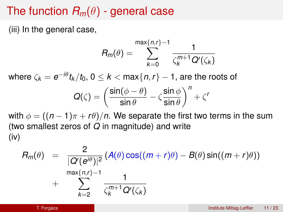### The function  $R_m(\theta)$  - general case

(iii) In the general case,

$$
R_m(\theta)=\sum_{k=0}^{\max\{n,r\}-1}\frac{1}{\zeta_k^{m+1}\mathcal{Q}'(\zeta_k)}
$$

where  $\zeta_{\bm{k}}=\bm{e}^{-i\theta}t_{\bm{k}}/t_0,\,0\leq\bm{k}<$  max $\{n,r\}-1,$  are the roots of

$$
Q(\zeta) = \left(\frac{\sin(\phi - \theta)}{\sin \theta} - \zeta \frac{\sin \phi}{\sin \theta}\right)^n + \zeta'
$$

with  $\phi = ((n-1)\pi + r\theta)/n$ . We separate the first two terms in the sum (two smallest zeros of *Q* in magnitude) and write (iv)

$$
R_m(\theta) = \frac{2}{|\mathcal{Q}'(e^{i\theta})|^2} (A(\theta) \cos((m+r)\theta) - B(\theta) \sin((m+r)\theta))
$$
  
+ 
$$
\sum_{k=2}^{\max\{n,r\}-1} \frac{1}{\zeta_k^{m+1} \mathcal{Q}'(\zeta_k)}
$$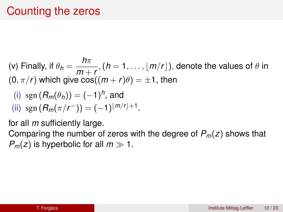## Counting the zeros

(v) Finally, if  $\theta_h = \frac{h\pi}{m}$  $\frac{mn}{m+r}$ ,  $(h = 1, ..., [m/r])$ , denote the values of  $\theta$  in  $(0, \pi/r)$  which give cos $((m+r)\theta) = \pm 1$ , then

(i) 
$$
sgn(R_m(\theta_h)) = (-1)^h
$$
, and

(ii) 
$$
\text{sgn}(R_m(\pi/r^{-})) = (-1)^{\lfloor m/r \rfloor + 1}
$$
.

for all *m* sufficiently large.

Comparing the number of zeros with the degree of *Pm*(*z*) shows that  $P_m(z)$  is hyperbolic for all  $m \gg 1$ .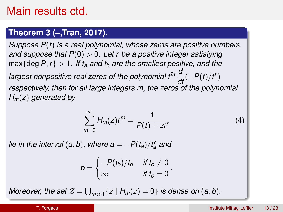### Main results ctd.

#### **Theorem 3 (–,Tran, 2017).**

*Suppose P*(*t*) *is a real polynomial, whose zeros are positive numbers, and suppose that P*(0) > 0*. Let r be a positive integer satisfying*  $\max\{\text{deg }P, r\} > 1$ *. If t<sub>a</sub>* and t<sub>b</sub> are the smallest positive, and the *largest nonpositive real zeros of the polynomial*  $t^{2r} \frac{d}{dt} (-P(t)/t^r)$ *respectively, then for all large integers m, the zeros of the polynomial Hm*(*z*) *generated by*

$$
\sum_{m=0}^{\infty} H_m(z) t^m = \frac{1}{P(t) + z t^r}
$$
 (4)

.

*lie in the interval*  $(a, b)$ *, where*  $a = -P(t_a)/t_a^r$  *and* 

$$
b = \begin{cases} -P(t_b)/t_b & \text{if } t_b \neq 0\\ \infty & \text{if } t_b = 0 \end{cases}
$$

 $M$ oreover, the set  $\mathcal{Z} = \bigcup_{m \gg 1} \{z \mid H_m(z) = 0\}$  is dense on  $(a, b)$ *.*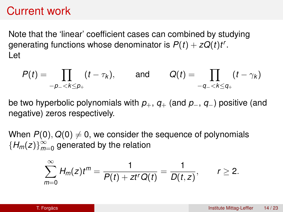### Current work

Note that the 'linear' coefficient cases can combined by studying generating functions whose denominator is  $P(t) + zQ(t)t^r$ . Let

$$
P(t) = \prod_{-p_-<\mathbf{k}\leq p_+}(t-\tau_{\mathbf{k}}), \quad \text{and} \quad Q(t) = \prod_{-q_-<\mathbf{k}\leq q_+}(t-\gamma_{\mathbf{k}})
$$

be two hyperbolic polynomials with *p*+, *q*<sup>+</sup> (and *p*−, *q*−) positive (and negative) zeros respectively.

When  $P(0)$ ,  $Q(0) \neq 0$ , we consider the sequence of polynomials  ${H_m(z)}_{m}^{\infty}$  $_{m=0}^{\infty}$  generated by the relation

$$
\sum_{m=0}^{\infty} H_m(z)t^m = \frac{1}{P(t)+zt^rQ(t)} = \frac{1}{D(t,z)}, \qquad r \geq 2.
$$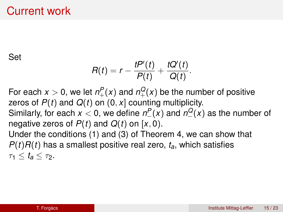### Current work

Set

$$
R(t)=r-\frac{tP'(t)}{P(t)}+\frac{tQ'(t)}{Q(t)}.
$$

For each  $x > 0$ , we let  $n_{+}^{P}(x)$  and  $n_{+}^{Q}(x)$  be the number of positive zeros of *P*(*t*) and *Q*(*t*) on (0, *x*] counting multiplicity.

Similarly, for each  $x < 0$ , we define  $n^P_-(x)$  and  $n^Q_-(x)$  as the number of negative zeros of  $P(t)$  and  $Q(t)$  on [x, 0).

Under the conditions [\(1\)](#page-15-0) and [\(3\)](#page-15-1) of Theorem [4,](#page-15-2) we can show that  $P(t)R(t)$  has a smallest positive real zero,  $t_a$ , which satisfies  $\tau_1 < t_a < \tau_2$ .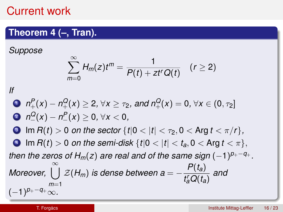### Current work

### **Theorem 4 (–, Tran).**

<span id="page-15-2"></span>*Suppose*

$$
\sum_{m=0}^{\infty} H_m(z)t^m = \frac{1}{P(t)+zt^rQ(t)} \quad (r \geq 2)
$$

*If*

<span id="page-15-1"></span><span id="page-15-0"></span>\n- \n
$$
n_{+}^{P}(x) - n_{+}^{Q}(x) \geq 2, \forall x \geq \tau_{2}, \text{ and } n_{+}^{Q}(x) = 0, \forall x \in (0, \tau_{2})
$$
\n
\n- \n $n_{-}^{Q}(x) - n_{-}^{P}(x) \geq 0, \forall x < 0,$ \n
\n- \n $\Box \text{ Im } R(t) > 0 \text{ on the sector } \{t | 0 < |t| < \tau_{2}, 0 < \text{Arg } t < \pi/r\},$ \n
\n- \n $\Box \text{ Im } R(t) > 0 \text{ on the semi-disk } \{t | 0 < |t| < t_{a}, 0 < \text{Arg } t < \pi\},$ \n
\n- \n then the zeros of  $H_{m}(z)$  are real and of the same sign  $(-1)^{p_{+} - q}$ \n
\n- \n Moreover,  $\bigcup_{m=1}^{\infty} \mathcal{Z}(H_{m})$  is dense between  $a = -\frac{P(t_{a})}{t_{a}^{r}Q(t_{a})}$  and\n
\n

 $(-1)^{p_+q_+}$ ∞.

*<sup>p</sup>*+−*q*<sup>+</sup> *.*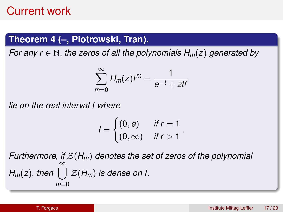### **Theorem 4 (–, Piotrowski, Tran).**

*For any r* ∈ N, *the zeros of all the polynomials Hm*(*z*) *generated by*

$$
\sum_{m=0}^{\infty} H_m(z) t^m = \frac{1}{e^{-t} + z t^r}
$$

*lie on the real interval I where*

$$
I = \begin{cases} (0, e) & \text{if } r = 1 \\ (0, \infty) & \text{if } r > 1 \end{cases}.
$$

*Furthermore, if* Z(*Hm*) *denotes the set of zeros of the polynomial H<sub>m</sub>*(*z*), then  $\bigcup_{m=1}^{\infty}$  *Z*(*H<sub>m</sub>*) *is dense on I.*  $m=0$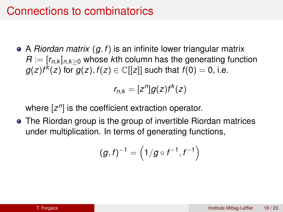### Connections to combinatorics

A *Riordan matrix* (*g*, *f*) is an infinite lower triangular matrix  $R := [r_{n,k}]_{n,k \geq 0}$  whose *k*th column has the generating function  $g(z)f^k(z)$  for  $g(z), f(z) \in \mathbb{C}[[z]]$  such that  $f(0) = 0$ , i.e.

$$
r_{n,k}=[z^n]g(z)f^k(z)
$$

where [z<sup>n</sup>] is the coefficient extraction operator.

The Riordan group is the group of invertible Riordan matrices under multiplication. In terms of generating functions,

$$
(g,f)^{-1} = \left(1/g \circ f^{-1},f^{-1}\right)
$$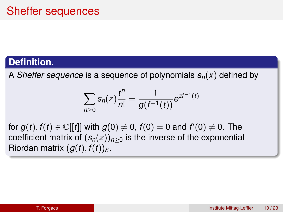### **Definition.**

A *Sheffer sequence* is a sequence of polynomials  $s_n(x)$  defined by

$$
\sum_{n\geq 0} s_n(z) \frac{t^n}{n!} = \frac{1}{g(t^{-1}(t))} e^{zt^{-1}(t)}
$$

 $f$  for  $g(t), f(t) \in \mathbb{C}[[t]]$  with  $g(0) \neq 0$ ,  $f(0) = 0$  and  $f'(0) \neq 0$ . The coefficient matrix of  $(s_n(z))_{n>0}$  is the inverse of the exponential Riordan matrix  $(q(t), f(t))_{\mathcal{E}}$ .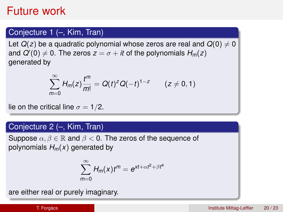### Future work

#### Conjecture 1 (–, Kim, Tran)

Let  $Q(z)$  be a quadratic polynomial whose zeros are real and  $Q(0) \neq 0$ and  $Q'(0) \neq 0$ . The zeros  $z = \sigma + i t$  of the polynomials  $H_m(z)$ generated by

$$
\sum_{m=0}^{\infty} H_m(z) \frac{t^m}{m!} = Q(t)^z Q(-t)^{1-z} \qquad (z \neq 0, 1)
$$

lie on the critical line  $\sigma = 1/2$ .

#### Conjecture 2 (–, Kim, Tran)

Suppose  $\alpha, \beta \in \mathbb{R}$  and  $\beta < 0$ . The zeros of the sequence of polynomials *Hm*(*x*) generated by

$$
\sum_{m=0}^{\infty} H_m(x) t^m = e^{xt + \alpha t^2 + \beta t^4}
$$

are either real or purely imaginary.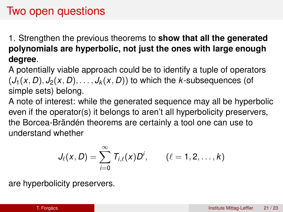### Two open questions

1. Strengthen the previous theorems to **show that all the generated polynomials are hyperbolic, not just the ones with large enough degree**.

A potentially viable approach could be to identify a tuple of operators  $(J_1(x, D), J_2(x, D), \ldots, J_k(x, D))$  to which the *k*-subsequences (of simple sets) belong.

A note of interest: while the generated sequence may all be hyperbolic even if the operator(s) it belongs to aren't all hyperbolicity preservers, the Borcea-Brändén theorems are certainly a tool one can use to understand whether

$$
J_{\ell}(x,D)=\sum_{i=0}^{\infty}T_{i,\ell}(x)D^i, \qquad (\ell=1,2,\ldots,k)
$$

are hyperbolicity preservers.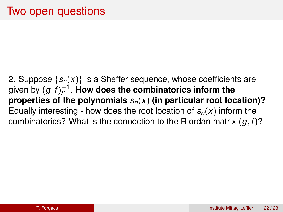2. Suppose  $\{s_n(x)\}\)$  is a Sheffer sequence, whose coefficients are given by  $(g, f)_{\mathcal{E}}^{-1}.$  **How does the combinatorics inform the properties of the polynomials** *sn*(*x*) **(in particular root location)?** Equally interesting - how does the root location of  $s_n(x)$  inform the combinatorics? What is the connection to the Riordan matrix (*g*, *f*)?